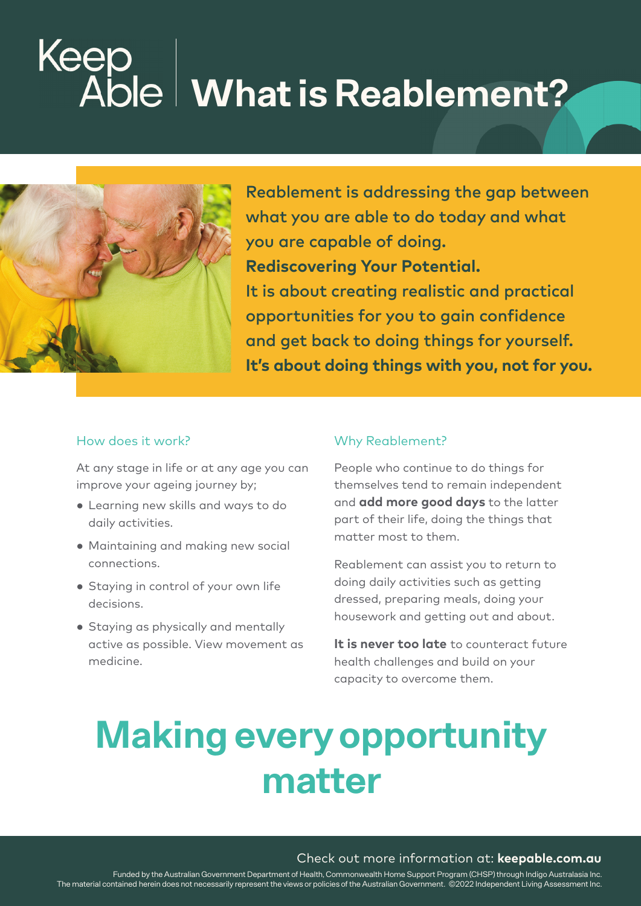## **Keer**<br>Ak **What is Reablement?**



Reablement is addressing the gap between what you are able to do today and what you are capable of doing. **Rediscovering Your Potential.** It is about creating realistic and practical opportunities for you to gain confidence and get back to doing things for yourself. **It's about doing things with you, not for you.**

#### How does it work?

At any stage in life or at any age you can improve your ageing journey by;

- **●** Learning new skills and ways to do daily activities.
- **●** Maintaining and making new social connections.
- **●** Staying in control of your own life decisions.
- **●** Staying as physically and mentally active as possible. View movement as medicine.

#### Why Reablement?

People who continue to do things for themselves tend to remain independent and **add more good days** to the latter part of their life, doing the things that matter most to them.

Reablement can assist you to return to doing daily activities such as getting dressed, preparing meals, doing your housework and getting out and about.

**It is never too late** to counteract future health challenges and build on your capacity to overcome them.

### **Making every opportunity matter**

#### Check out more information at: **keepable.com.au**

Funded by the Australian Government Department of Health, Commonwealth Home Support Program (CHSP) through Indigo Australasia Inc. The material contained herein does not necessarily represent the views or policies of the Australian Government. ©2022 Independent Living Assessment Inc.